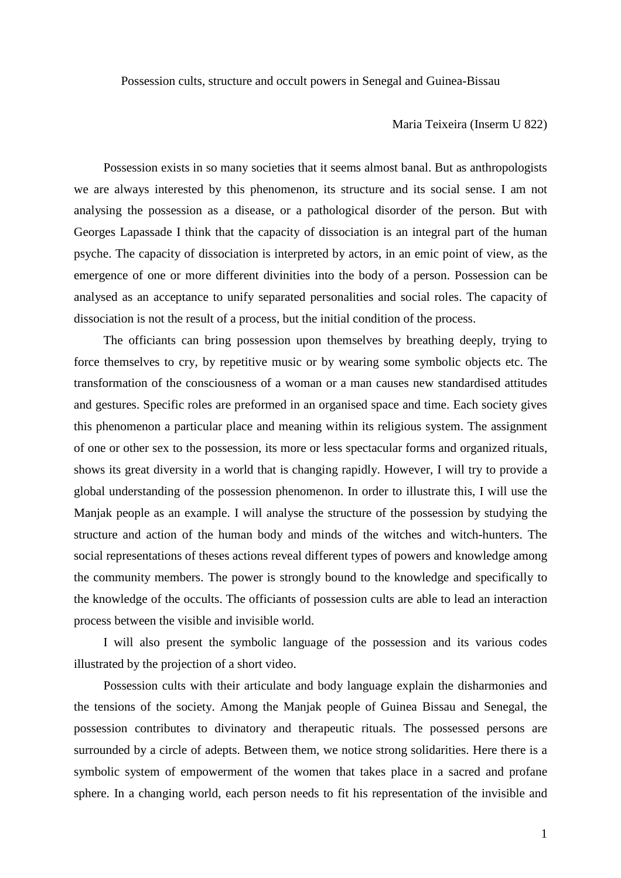Possession cults, structure and occult powers in Senegal and Guinea-Bissau

## Maria Teixeira (Inserm U 822)

Possession exists in so many societies that it seems almost banal. But as anthropologists we are always interested by this phenomenon, its structure and its social sense. I am not analysing the possession as a disease, or a pathological disorder of the person. But with Georges Lapassade I think that the capacity of dissociation is an integral part of the human psyche. The capacity of dissociation is interpreted by actors, in an emic point of view, as the emergence of one or more different divinities into the body of a person. Possession can be analysed as an acceptance to unify separated personalities and social roles. The capacity of dissociation is not the result of a process, but the initial condition of the process.

The officiants can bring possession upon themselves by breathing deeply, trying to force themselves to cry, by repetitive music or by wearing some symbolic objects etc. The transformation of the consciousness of a woman or a man causes new standardised attitudes and gestures. Specific roles are preformed in an organised space and time. Each society gives this phenomenon a particular place and meaning within its religious system. The assignment of one or other sex to the possession, its more or less spectacular forms and organized rituals, shows its great diversity in a world that is changing rapidly. However, I will try to provide a global understanding of the possession phenomenon. In order to illustrate this, I will use the Manjak people as an example. I will analyse the structure of the possession by studying the structure and action of the human body and minds of the witches and witch-hunters. The social representations of theses actions reveal different types of powers and knowledge among the community members. The power is strongly bound to the knowledge and specifically to the knowledge of the occults. The officiants of possession cults are able to lead an interaction process between the visible and invisible world.

I will also present the symbolic language of the possession and its various codes illustrated by the projection of a short video.

Possession cults with their articulate and body language explain the disharmonies and the tensions of the society. Among the Manjak people of Guinea Bissau and Senegal, the possession contributes to divinatory and therapeutic rituals. The possessed persons are surrounded by a circle of adepts. Between them, we notice strong solidarities. Here there is a symbolic system of empowerment of the women that takes place in a sacred and profane sphere. In a changing world, each person needs to fit his representation of the invisible and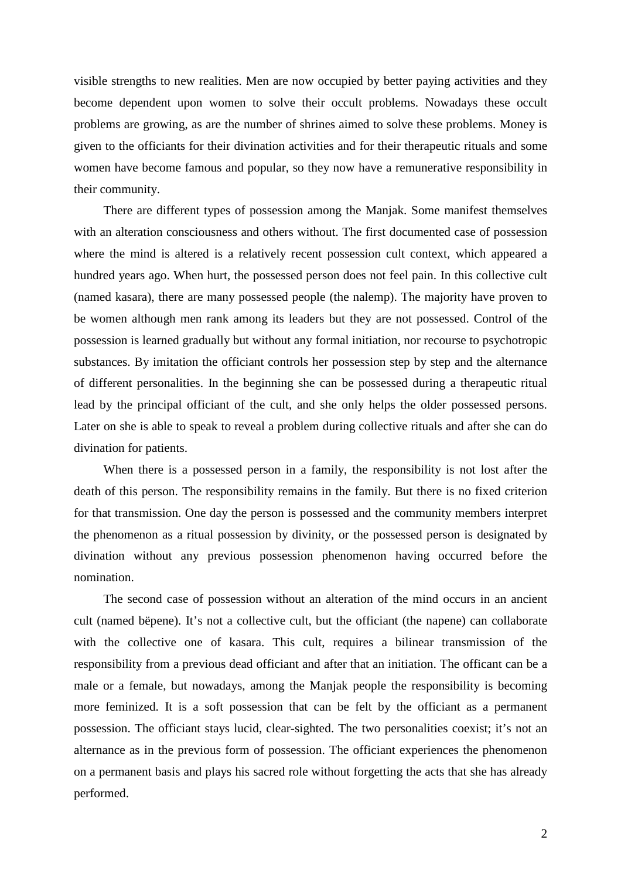visible strengths to new realities. Men are now occupied by better paying activities and they become dependent upon women to solve their occult problems. Nowadays these occult problems are growing, as are the number of shrines aimed to solve these problems. Money is given to the officiants for their divination activities and for their therapeutic rituals and some women have become famous and popular, so they now have a remunerative responsibility in their community.

There are different types of possession among the Manjak. Some manifest themselves with an alteration consciousness and others without. The first documented case of possession where the mind is altered is a relatively recent possession cult context, which appeared a hundred years ago. When hurt, the possessed person does not feel pain. In this collective cult (named kasara), there are many possessed people (the nalemp). The majority have proven to be women although men rank among its leaders but they are not possessed. Control of the possession is learned gradually but without any formal initiation, nor recourse to psychotropic substances. By imitation the officiant controls her possession step by step and the alternance of different personalities. In the beginning she can be possessed during a therapeutic ritual lead by the principal officiant of the cult, and she only helps the older possessed persons. Later on she is able to speak to reveal a problem during collective rituals and after she can do divination for patients.

When there is a possessed person in a family, the responsibility is not lost after the death of this person. The responsibility remains in the family. But there is no fixed criterion for that transmission. One day the person is possessed and the community members interpret the phenomenon as a ritual possession by divinity, or the possessed person is designated by divination without any previous possession phenomenon having occurred before the nomination.

The second case of possession without an alteration of the mind occurs in an ancient cult (named bëpene). It's not a collective cult, but the officiant (the napene) can collaborate with the collective one of kasara. This cult, requires a bilinear transmission of the responsibility from a previous dead officiant and after that an initiation. The officant can be a male or a female, but nowadays, among the Manjak people the responsibility is becoming more feminized. It is a soft possession that can be felt by the officiant as a permanent possession. The officiant stays lucid, clear-sighted. The two personalities coexist; it's not an alternance as in the previous form of possession. The officiant experiences the phenomenon on a permanent basis and plays his sacred role without forgetting the acts that she has already performed.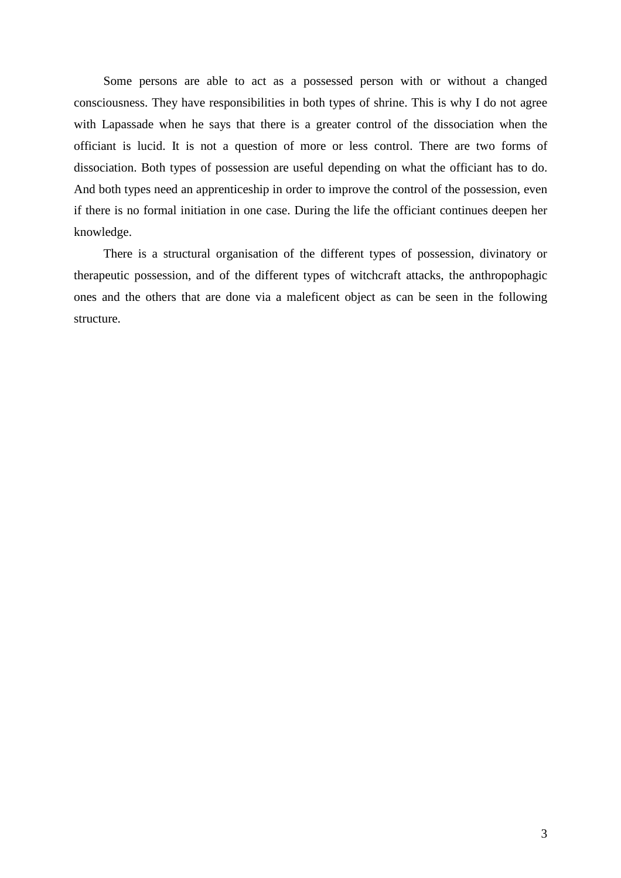Some persons are able to act as a possessed person with or without a changed consciousness. They have responsibilities in both types of shrine. This is why I do not agree with Lapassade when he says that there is a greater control of the dissociation when the officiant is lucid. It is not a question of more or less control. There are two forms of dissociation. Both types of possession are useful depending on what the officiant has to do. And both types need an apprenticeship in order to improve the control of the possession, even if there is no formal initiation in one case. During the life the officiant continues deepen her knowledge.

There is a structural organisation of the different types of possession, divinatory or therapeutic possession, and of the different types of witchcraft attacks, the anthropophagic ones and the others that are done via a maleficent object as can be seen in the following structure.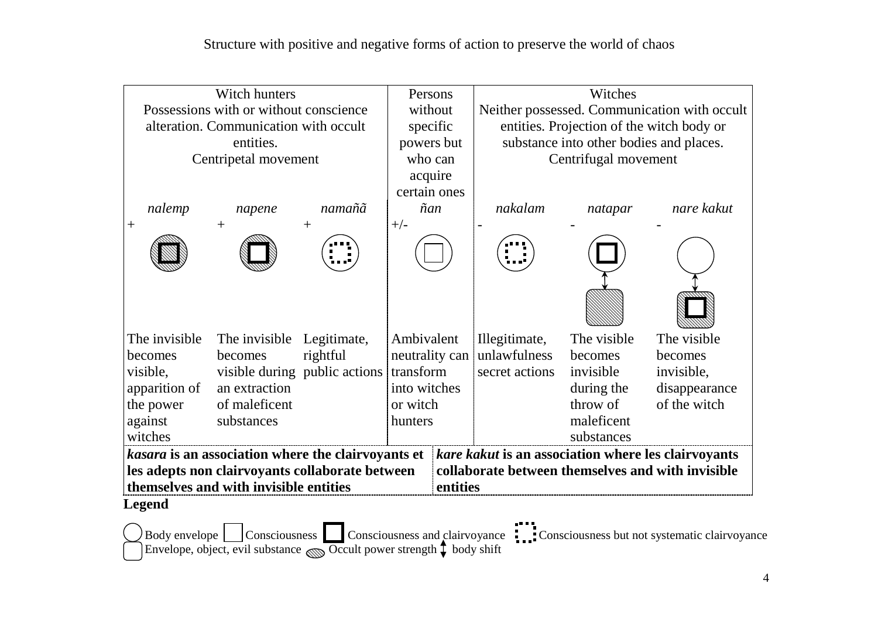| Witch hunters                                                                                             |               |                                                       |                | Persons                         | Witches                                           |             |               |  |
|-----------------------------------------------------------------------------------------------------------|---------------|-------------------------------------------------------|----------------|---------------------------------|---------------------------------------------------|-------------|---------------|--|
| Possessions with or without conscience                                                                    |               |                                                       |                | without                         | Neither possessed. Communication with occult      |             |               |  |
| alteration. Communication with occult                                                                     |               |                                                       |                | specific                        | entities. Projection of the witch body or         |             |               |  |
|                                                                                                           |               | substance into other bodies and places.<br>powers but |                |                                 |                                                   |             |               |  |
| Centripetal movement                                                                                      |               |                                                       |                | who can<br>Centrifugal movement |                                                   |             |               |  |
|                                                                                                           |               |                                                       |                | acquire                         |                                                   |             |               |  |
|                                                                                                           |               |                                                       | certain ones   |                                 |                                                   |             |               |  |
| nalemp                                                                                                    | napene        | namañã                                                | ñan            |                                 | nakalam                                           | natapar     | nare kakut    |  |
| $\hspace{0.1mm} +$                                                                                        | $+$           | $^{+}$                                                | $+/-$          |                                 |                                                   |             |               |  |
|                                                                                                           |               |                                                       |                |                                 |                                                   |             |               |  |
|                                                                                                           |               |                                                       |                |                                 |                                                   |             |               |  |
|                                                                                                           |               |                                                       |                |                                 |                                                   |             |               |  |
| The invisible                                                                                             | The invisible | Legitimate,                                           | Ambivalent     |                                 | Illegitimate,                                     | The visible | The visible   |  |
| becomes                                                                                                   | becomes       | rightful                                              | neutrality can |                                 | unlawfulness                                      | becomes     | becomes       |  |
| visible,                                                                                                  |               | visible during public actions                         | transform      |                                 | secret actions                                    | invisible   | invisible,    |  |
| apparition of                                                                                             | an extraction |                                                       | into witches   |                                 |                                                   | during the  | disappearance |  |
| the power                                                                                                 | of maleficent |                                                       | or witch       |                                 |                                                   | throw of    | of the witch  |  |
| against                                                                                                   | substances    |                                                       | hunters        |                                 |                                                   | maleficent  |               |  |
| witches                                                                                                   |               |                                                       |                |                                 |                                                   | substances  |               |  |
| kare kakut is an association where les clairvoyants<br>kasara is an association where the clairvoyants et |               |                                                       |                |                                 |                                                   |             |               |  |
| les adepts non clairvoyants collaborate between                                                           |               |                                                       |                |                                 | collaborate between themselves and with invisible |             |               |  |
| themselves and with invisible entities                                                                    |               |                                                       |                | entities                        |                                                   |             |               |  |
| Legend                                                                                                    |               |                                                       |                |                                 |                                                   |             |               |  |

Body envelope  $\Box$  Consciousness  $\Box$  Consciousness and clairvoyance  $\Box$  Consciousness but not systematic clairvoyance Envelope, object, evil substance  $\bigotimes$  Occult power strength  $\Box$  body shift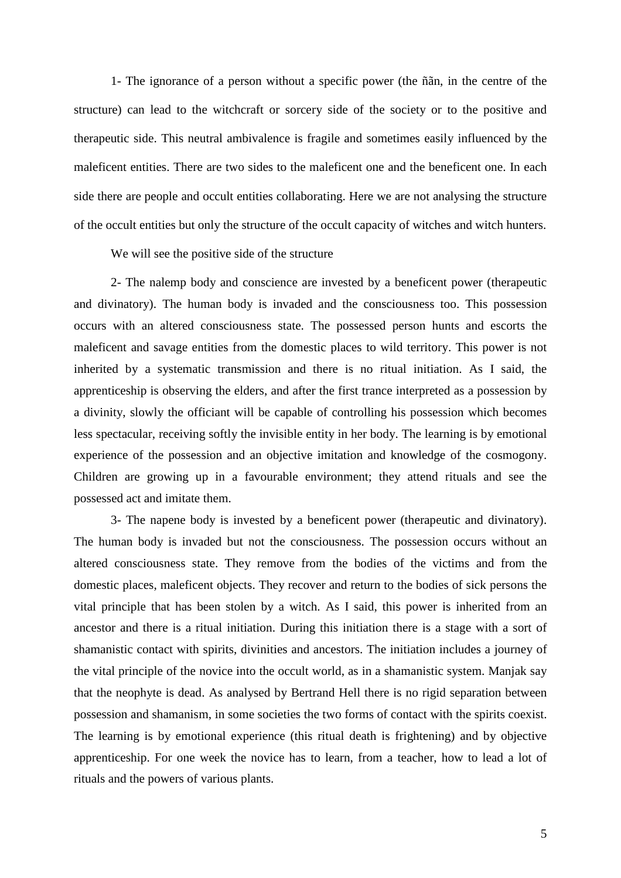1- The ignorance of a person without a specific power (the ñãn, in the centre of the structure) can lead to the witchcraft or sorcery side of the society or to the positive and therapeutic side. This neutral ambivalence is fragile and sometimes easily influenced by the maleficent entities. There are two sides to the maleficent one and the beneficent one. In each side there are people and occult entities collaborating. Here we are not analysing the structure of the occult entities but only the structure of the occult capacity of witches and witch hunters.

We will see the positive side of the structure

2- The nalemp body and conscience are invested by a beneficent power (therapeutic and divinatory). The human body is invaded and the consciousness too. This possession occurs with an altered consciousness state. The possessed person hunts and escorts the maleficent and savage entities from the domestic places to wild territory. This power is not inherited by a systematic transmission and there is no ritual initiation. As I said, the apprenticeship is observing the elders, and after the first trance interpreted as a possession by a divinity, slowly the officiant will be capable of controlling his possession which becomes less spectacular, receiving softly the invisible entity in her body. The learning is by emotional experience of the possession and an objective imitation and knowledge of the cosmogony. Children are growing up in a favourable environment; they attend rituals and see the possessed act and imitate them.

3- The napene body is invested by a beneficent power (therapeutic and divinatory). The human body is invaded but not the consciousness. The possession occurs without an altered consciousness state. They remove from the bodies of the victims and from the domestic places, maleficent objects. They recover and return to the bodies of sick persons the vital principle that has been stolen by a witch. As I said, this power is inherited from an ancestor and there is a ritual initiation. During this initiation there is a stage with a sort of shamanistic contact with spirits, divinities and ancestors. The initiation includes a journey of the vital principle of the novice into the occult world, as in a shamanistic system. Manjak say that the neophyte is dead. As analysed by Bertrand Hell there is no rigid separation between possession and shamanism, in some societies the two forms of contact with the spirits coexist. The learning is by emotional experience (this ritual death is frightening) and by objective apprenticeship. For one week the novice has to learn, from a teacher, how to lead a lot of rituals and the powers of various plants.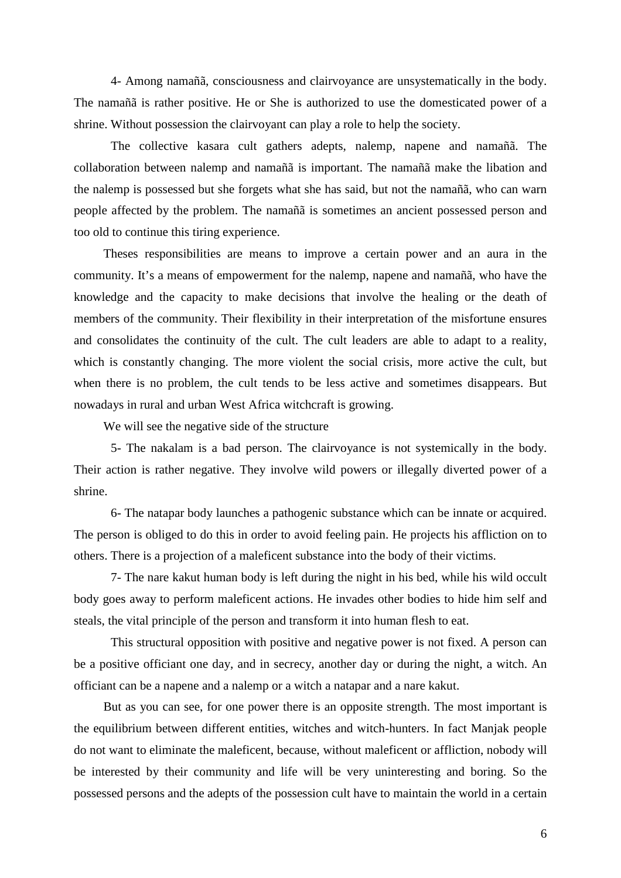4- Among namañã, consciousness and clairvoyance are unsystematically in the body. The namañã is rather positive. He or She is authorized to use the domesticated power of a shrine. Without possession the clairvoyant can play a role to help the society.

The collective kasara cult gathers adepts, nalemp, napene and namañã. The collaboration between nalemp and namañã is important. The namañã make the libation and the nalemp is possessed but she forgets what she has said, but not the namañã, who can warn people affected by the problem. The namañã is sometimes an ancient possessed person and too old to continue this tiring experience.

Theses responsibilities are means to improve a certain power and an aura in the community. It's a means of empowerment for the nalemp, napene and namañã, who have the knowledge and the capacity to make decisions that involve the healing or the death of members of the community. Their flexibility in their interpretation of the misfortune ensures and consolidates the continuity of the cult. The cult leaders are able to adapt to a reality, which is constantly changing. The more violent the social crisis, more active the cult, but when there is no problem, the cult tends to be less active and sometimes disappears. But nowadays in rural and urban West Africa witchcraft is growing.

We will see the negative side of the structure

5- The nakalam is a bad person. The clairvoyance is not systemically in the body. Their action is rather negative. They involve wild powers or illegally diverted power of a shrine.

6- The natapar body launches a pathogenic substance which can be innate or acquired. The person is obliged to do this in order to avoid feeling pain. He projects his affliction on to others. There is a projection of a maleficent substance into the body of their victims.

7- The nare kakut human body is left during the night in his bed, while his wild occult body goes away to perform maleficent actions. He invades other bodies to hide him self and steals, the vital principle of the person and transform it into human flesh to eat.

This structural opposition with positive and negative power is not fixed. A person can be a positive officiant one day, and in secrecy, another day or during the night, a witch. An officiant can be a napene and a nalemp or a witch a natapar and a nare kakut.

But as you can see, for one power there is an opposite strength. The most important is the equilibrium between different entities, witches and witch-hunters. In fact Manjak people do not want to eliminate the maleficent, because, without maleficent or affliction, nobody will be interested by their community and life will be very uninteresting and boring. So the possessed persons and the adepts of the possession cult have to maintain the world in a certain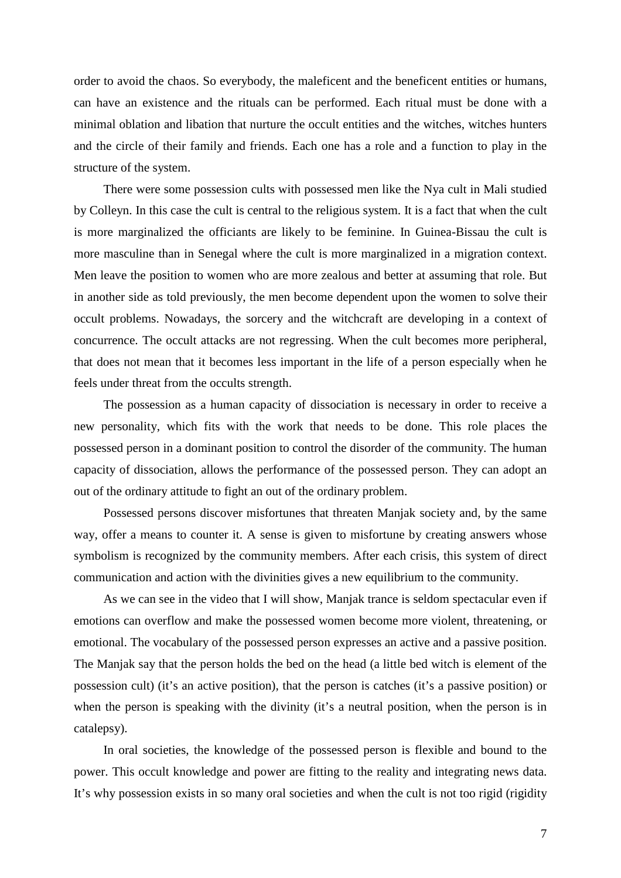order to avoid the chaos. So everybody, the maleficent and the beneficent entities or humans, can have an existence and the rituals can be performed. Each ritual must be done with a minimal oblation and libation that nurture the occult entities and the witches, witches hunters and the circle of their family and friends. Each one has a role and a function to play in the structure of the system.

There were some possession cults with possessed men like the Nya cult in Mali studied by Colleyn. In this case the cult is central to the religious system. It is a fact that when the cult is more marginalized the officiants are likely to be feminine. In Guinea-Bissau the cult is more masculine than in Senegal where the cult is more marginalized in a migration context. Men leave the position to women who are more zealous and better at assuming that role. But in another side as told previously, the men become dependent upon the women to solve their occult problems. Nowadays, the sorcery and the witchcraft are developing in a context of concurrence. The occult attacks are not regressing. When the cult becomes more peripheral, that does not mean that it becomes less important in the life of a person especially when he feels under threat from the occults strength.

The possession as a human capacity of dissociation is necessary in order to receive a new personality, which fits with the work that needs to be done. This role places the possessed person in a dominant position to control the disorder of the community. The human capacity of dissociation, allows the performance of the possessed person. They can adopt an out of the ordinary attitude to fight an out of the ordinary problem.

Possessed persons discover misfortunes that threaten Manjak society and, by the same way, offer a means to counter it. A sense is given to misfortune by creating answers whose symbolism is recognized by the community members. After each crisis, this system of direct communication and action with the divinities gives a new equilibrium to the community.

As we can see in the video that I will show, Manjak trance is seldom spectacular even if emotions can overflow and make the possessed women become more violent, threatening, or emotional. The vocabulary of the possessed person expresses an active and a passive position. The Manjak say that the person holds the bed on the head (a little bed witch is element of the possession cult) (it's an active position), that the person is catches (it's a passive position) or when the person is speaking with the divinity (it's a neutral position, when the person is in catalepsy).

In oral societies, the knowledge of the possessed person is flexible and bound to the power. This occult knowledge and power are fitting to the reality and integrating news data. It's why possession exists in so many oral societies and when the cult is not too rigid (rigidity